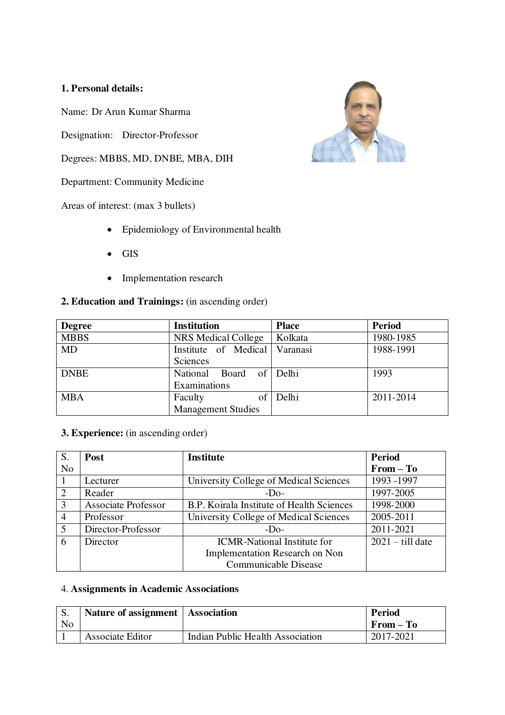# **1. Personal details:**

Name: Dr Arun Kumar Sharma

Designation: Director-Professor

Degrees: MBBS, MD, DNBE, MBA, DIH

Department: Community Medicine

Areas of interest: (max 3 bullets)

- Epidemiology of Environmental health
- GIS
- Implementation research

## **2. Education and Trainings:** (in ascending order)

| <b>Degree</b> | <b>Institution</b>        | <b>Place</b> | <b>Period</b> |
|---------------|---------------------------|--------------|---------------|
| <b>MBBS</b>   | NRS Medical College       | Kolkata      | 1980-1985     |
| <b>MD</b>     | Institute of Medical      | Varanasi     | 1988-1991     |
|               | Sciences                  |              |               |
| <b>DNBE</b>   | National Board of Delhi   |              | 1993          |
|               | Examinations              |              |               |
| <b>MBA</b>    | Faculty<br>of             | Delhi        | 2011-2014     |
|               | <b>Management Studies</b> |              |               |

# **3. Experience:** (in ascending order)

| S.             | Post                       | <b>Institute</b>                          | <b>Period</b>      |
|----------------|----------------------------|-------------------------------------------|--------------------|
| N <sub>o</sub> |                            |                                           | $From - To$        |
|                | Lecturer                   | University College of Medical Sciences    | 1993 -1997         |
| $\overline{2}$ | Reader                     | $-D0$                                     | 1997-2005          |
| 3              | <b>Associate Professor</b> | B.P. Koirala Institute of Health Sciences | 1998-2000          |
| $\overline{4}$ | Professor                  | University College of Medical Sciences    | 2005-2011          |
| 5              | Director-Professor         | $-DO$                                     | 2011-2021          |
| 6              | Director                   | <b>ICMR-National Institute for</b>        | $2021 -$ till date |
|                |                            | <b>Implementation Research on Non</b>     |                    |
|                |                            | Communicable Disease                      |                    |

#### 4. **Assignments in Academic Associations**

| D.             | Nature of assignment   Association |                                  | Period    |
|----------------|------------------------------------|----------------------------------|-----------|
| N <sub>0</sub> |                                    |                                  | From – To |
|                | Associate Editor                   | Indian Public Health Association | 2017-2021 |

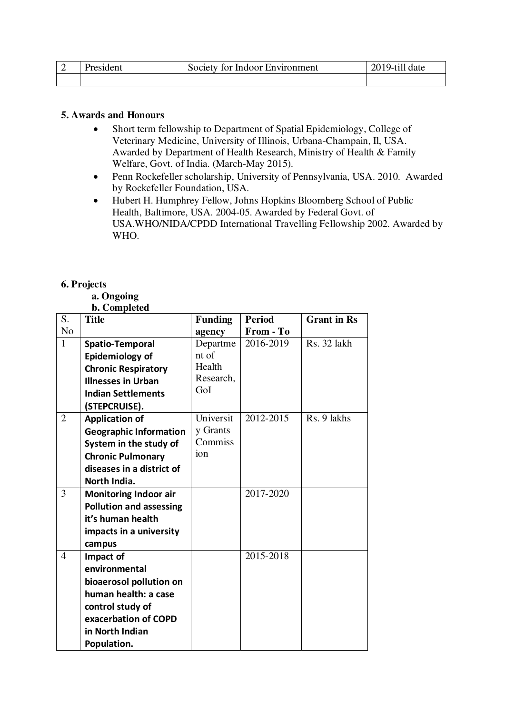| President | Society for Indoor Environment |  |
|-----------|--------------------------------|--|
|           |                                |  |

## **5. Awards and Honours**

- Short term fellowship to Department of Spatial Epidemiology, College of Veterinary Medicine, University of Illinois, Urbana-Champain, Il, USA. Awarded by Department of Health Research, Ministry of Health & Family Welfare, Govt. of India. (March-May 2015).
- Penn Rockefeller scholarship, University of Pennsylvania, USA. 2010. Awarded by Rockefeller Foundation, USA.
- Hubert H. Humphrey Fellow, Johns Hopkins Bloomberg School of Public Health, Baltimore, USA. 2004-05. Awarded by Federal Govt. of USA.WHO/NIDA/CPDD International Travelling Fellowship 2002. Awarded by WHO.

## **6. Projects**

## **a. Ongoing**

 **b. Completed** 

| S.             | $\mathbf{v}$ , compreted<br><b>Title</b> | <b>Funding</b> | <b>Period</b> | <b>Grant</b> in Rs |
|----------------|------------------------------------------|----------------|---------------|--------------------|
| N <sub>o</sub> |                                          | agency         | From - To     |                    |
| 1              | <b>Spatio-Temporal</b>                   | Departme       | 2016-2019     | Rs. 32 lakh        |
|                | Epidemiology of                          | nt of          |               |                    |
|                | <b>Chronic Respiratory</b>               | Health         |               |                    |
|                | <b>Illnesses in Urban</b>                | Research,      |               |                    |
|                | <b>Indian Settlements</b>                | GoI            |               |                    |
|                | (STEPCRUISE).                            |                |               |                    |
| $\overline{2}$ | <b>Application of</b>                    | Universit      | 2012-2015     | Rs. 9 lakhs        |
|                | <b>Geographic Information</b>            | y Grants       |               |                    |
|                | System in the study of                   | Commiss        |               |                    |
|                | <b>Chronic Pulmonary</b>                 | ion            |               |                    |
|                | diseases in a district of                |                |               |                    |
|                | North India.                             |                |               |                    |
| 3              | <b>Monitoring Indoor air</b>             |                | 2017-2020     |                    |
|                | <b>Pollution and assessing</b>           |                |               |                    |
|                | it's human health                        |                |               |                    |
|                | impacts in a university                  |                |               |                    |
|                | campus                                   |                |               |                    |
| 4              | Impact of                                |                | 2015-2018     |                    |
|                | environmental                            |                |               |                    |
|                | bioaerosol pollution on                  |                |               |                    |
|                | human health: a case                     |                |               |                    |
|                | control study of                         |                |               |                    |
|                | exacerbation of COPD                     |                |               |                    |
|                | in North Indian                          |                |               |                    |
|                | Population.                              |                |               |                    |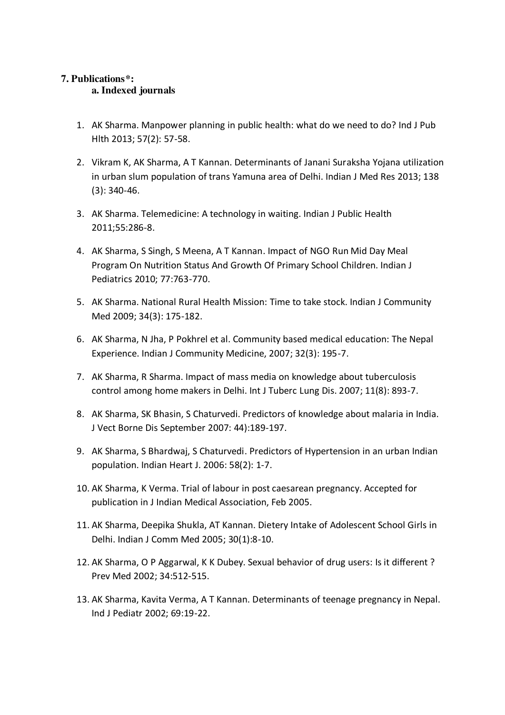# **7. Publications\*:**

## **a. Indexed journals**

- 1. AK Sharma. Manpower planning in public health: what do we need to do? Ind J Pub Hlth 2013; 57(2): 57-58.
- 2. Vikram K, AK Sharma, A T Kannan. Determinants of Janani Suraksha Yojana utilization in urban slum population of trans Yamuna area of Delhi. Indian J Med Res 2013; 138 (3): 340-46.
- 3. AK Sharma. Telemedicine: A technology in waiting. Indian J Public Health 2011;55:286-8.
- 4. AK Sharma, S Singh, S Meena, A T Kannan. Impact of NGO Run Mid Day Meal Program On Nutrition Status And Growth Of Primary School Children. Indian J Pediatrics 2010; 77:763-770.
- 5. AK Sharma. National Rural Health Mission: Time to take stock. Indian J Community Med 2009; 34(3): 175-182.
- 6. AK Sharma, N Jha, P Pokhrel et al. Community based medical education: The Nepal Experience. Indian J Community Medicine, 2007; 32(3): 195-7.
- 7. AK Sharma, R Sharma. Impact of mass media on knowledge about tuberculosis control among home makers in Delhi. Int J Tuberc Lung Dis. 2007; 11(8): 893-7.
- 8. AK Sharma, SK Bhasin, S Chaturvedi. Predictors of knowledge about malaria in India. J Vect Borne Dis September 2007: 44):189-197.
- 9. AK Sharma, S Bhardwaj, S Chaturvedi. Predictors of Hypertension in an urban Indian population. Indian Heart J. 2006: 58(2): 1-7.
- 10. AK Sharma, K Verma. Trial of labour in post caesarean pregnancy. Accepted for publication in J Indian Medical Association, Feb 2005.
- 11. AK Sharma, Deepika Shukla, AT Kannan. Dietery Intake of Adolescent School Girls in Delhi. Indian J Comm Med 2005; 30(1):8-10.
- 12. AK Sharma, O P Aggarwal, K K Dubey. Sexual behavior of drug users: Is it different ? Prev Med 2002; 34:512-515.
- 13. AK Sharma, Kavita Verma, A T Kannan. Determinants of teenage pregnancy in Nepal. Ind J Pediatr 2002; 69:19-22.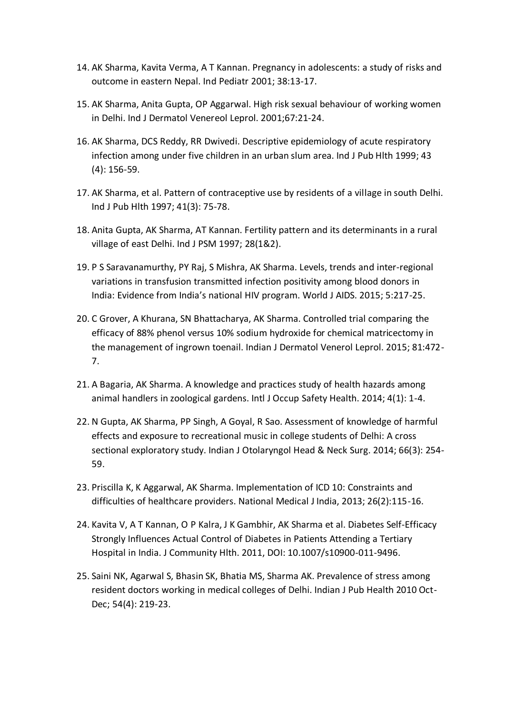- 14. AK Sharma, Kavita Verma, A T Kannan. Pregnancy in adolescents: a study of risks and outcome in eastern Nepal. Ind Pediatr 2001; 38:13-17.
- 15. AK Sharma, Anita Gupta, OP Aggarwal. High risk sexual behaviour of working women in Delhi. Ind J Dermatol Venereol Leprol. 2001;67:21-24.
- 16. AK Sharma, DCS Reddy, RR Dwivedi. Descriptive epidemiology of acute respiratory infection among under five children in an urban slum area. Ind J Pub Hlth 1999; 43 (4): 156-59.
- 17. AK Sharma, et al. Pattern of contraceptive use by residents of a village in south Delhi. Ind J Pub Hlth 1997; 41(3): 75-78.
- 18. Anita Gupta, AK Sharma, AT Kannan. Fertility pattern and its determinants in a rural village of east Delhi. Ind J PSM 1997; 28(1&2).
- 19. P S Saravanamurthy, PY Raj, S Mishra, AK Sharma. Levels, trends and inter-regional variations in transfusion transmitted infection positivity among blood donors in India: Evidence from India's national HIV program. World J AIDS. 2015; 5:217-25.
- 20. C Grover, A Khurana, SN Bhattacharya, AK Sharma. Controlled trial comparing the efficacy of 88% phenol versus 10% sodium hydroxide for chemical matricectomy in the management of ingrown toenail. Indian J Dermatol Venerol Leprol. 2015; 81:472- 7.
- 21. A Bagaria, AK Sharma. A knowledge and practices study of health hazards among animal handlers in zoological gardens. Intl J Occup Safety Health. 2014; 4(1): 1-4.
- 22. N Gupta, AK Sharma, PP Singh, A Goyal, R Sao. Assessment of knowledge of harmful effects and exposure to recreational music in college students of Delhi: A cross sectional exploratory study. Indian J Otolaryngol Head & Neck Surg. 2014; 66(3): 254- 59.
- 23. Priscilla K, K Aggarwal, AK Sharma. Implementation of ICD 10: Constraints and difficulties of healthcare providers. National Medical J India, 2013; 26(2):115-16.
- 24. Kavita V, A T Kannan, O P Kalra, J K Gambhir, AK Sharma et al. Diabetes Self-Efficacy Strongly Influences Actual Control of Diabetes in Patients Attending a Tertiary Hospital in India. J Community Hlth. 2011, DOI: 10.1007/s10900-011-9496.
- 25. Saini NK, Agarwal S, Bhasin SK, Bhatia MS, Sharma AK. Prevalence of stress among resident doctors working in medical colleges of Delhi. Indian J Pub Health 2010 Oct-Dec; 54(4): 219-23.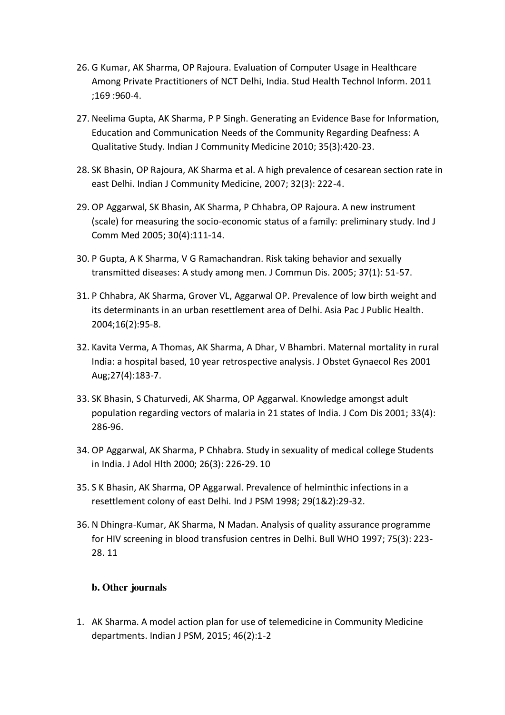- 26. G Kumar, AK Sharma, OP Rajoura. Evaluation of Computer Usage in Healthcare Among Private Practitioners of NCT Delhi, India. Stud Health Technol Inform. 2011 ;169 :960-4.
- 27. Neelima Gupta, AK Sharma, P P Singh. Generating an Evidence Base for Information, Education and Communication Needs of the Community Regarding Deafness: A Qualitative Study. Indian J Community Medicine 2010; 35(3):420-23.
- 28. SK Bhasin, OP Rajoura, AK Sharma et al. A high prevalence of cesarean section rate in east Delhi. Indian J Community Medicine, 2007; 32(3): 222-4.
- 29. OP Aggarwal, SK Bhasin, AK Sharma, P Chhabra, OP Rajoura. A new instrument (scale) for measuring the socio-economic status of a family: preliminary study. Ind J Comm Med 2005; 30(4):111-14.
- 30. P Gupta, A K Sharma, V G Ramachandran. Risk taking behavior and sexually transmitted diseases: A study among men. J Commun Dis. 2005; 37(1): 51-57.
- 31. P Chhabra, AK Sharma, Grover VL, Aggarwal OP. Prevalence of low birth weight and its determinants in an urban resettlement area of Delhi. Asia Pac J Public Health. 2004;16(2):95-8.
- 32. Kavita Verma, A Thomas, AK Sharma, A Dhar, V Bhambri. Maternal mortality in rural India: a hospital based, 10 year retrospective analysis. J Obstet Gynaecol Res 2001 Aug;27(4):183-7.
- 33. SK Bhasin, S Chaturvedi, AK Sharma, OP Aggarwal. Knowledge amongst adult population regarding vectors of malaria in 21 states of India. J Com Dis 2001; 33(4): 286-96.
- 34. OP Aggarwal, AK Sharma, P Chhabra. Study in sexuality of medical college Students in India. J Adol Hlth 2000; 26(3): 226-29. 10
- 35. S K Bhasin, AK Sharma, OP Aggarwal. Prevalence of helminthic infections in a resettlement colony of east Delhi. Ind J PSM 1998; 29(1&2):29-32.
- 36. N Dhingra-Kumar, AK Sharma, N Madan. Analysis of quality assurance programme for HIV screening in blood transfusion centres in Delhi. Bull WHO 1997; 75(3): 223- 28. 11

# **b. Other journals**

1. AK Sharma. A model action plan for use of telemedicine in Community Medicine departments. Indian J PSM, 2015; 46(2):1-2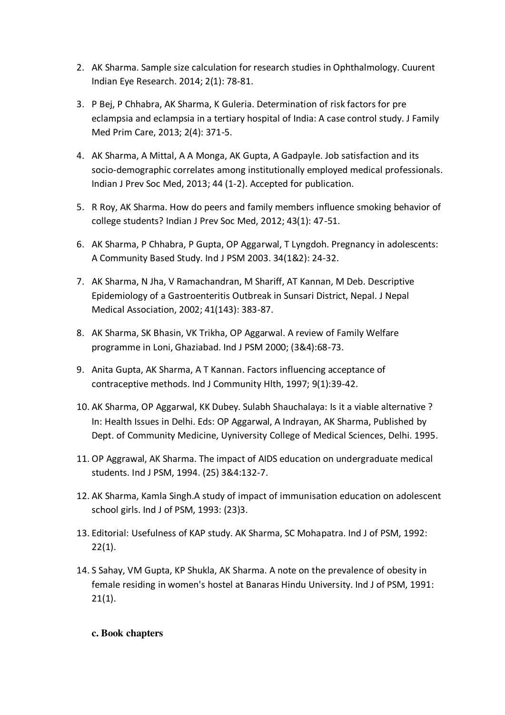- 2. AK Sharma. Sample size calculation for research studies in Ophthalmology. Cuurent Indian Eye Research. 2014; 2(1): 78-81.
- 3. P Bej, P Chhabra, AK Sharma, K Guleria. Determination of risk factors for pre eclampsia and eclampsia in a tertiary hospital of India: A case control study. J Family Med Prim Care, 2013; 2(4): 371-5.
- 4. AK Sharma, A Mittal, A A Monga, AK Gupta, A Gadpayle. Job satisfaction and its socio-demographic correlates among institutionally employed medical professionals. Indian J Prev Soc Med, 2013; 44 (1-2). Accepted for publication.
- 5. R Roy, AK Sharma. How do peers and family members influence smoking behavior of college students? Indian J Prev Soc Med, 2012; 43(1): 47-51.
- 6. AK Sharma, P Chhabra, P Gupta, OP Aggarwal, T Lyngdoh. Pregnancy in adolescents: A Community Based Study. Ind J PSM 2003. 34(1&2): 24-32.
- 7. AK Sharma, N Jha, V Ramachandran, M Shariff, AT Kannan, M Deb. Descriptive Epidemiology of a Gastroenteritis Outbreak in Sunsari District, Nepal. J Nepal Medical Association, 2002; 41(143): 383-87.
- 8. AK Sharma, SK Bhasin, VK Trikha, OP Aggarwal. A review of Family Welfare programme in Loni, Ghaziabad. Ind J PSM 2000; (3&4):68-73.
- 9. Anita Gupta, AK Sharma, A T Kannan. Factors influencing acceptance of contraceptive methods. Ind J Community Hlth, 1997; 9(1):39-42.
- 10. AK Sharma, OP Aggarwal, KK Dubey. Sulabh Shauchalaya: Is it a viable alternative ? In: Health Issues in Delhi. Eds: OP Aggarwal, A Indrayan, AK Sharma, Published by Dept. of Community Medicine, Uyniversity College of Medical Sciences, Delhi. 1995.
- 11. OP Aggrawal, AK Sharma. The impact of AIDS education on undergraduate medical students. Ind J PSM, 1994. (25) 3&4:132-7.
- 12. AK Sharma, Kamla Singh.A study of impact of immunisation education on adolescent school girls. Ind J of PSM, 1993: (23)3.
- 13. Editorial: Usefulness of KAP study. AK Sharma, SC Mohapatra. Ind J of PSM, 1992:  $22(1)$ .
- 14. S Sahay, VM Gupta, KP Shukla, AK Sharma. A note on the prevalence of obesity in female residing in women's hostel at Banaras Hindu University. Ind J of PSM, 1991:  $21(1)$ .

# **c. Book chapters**